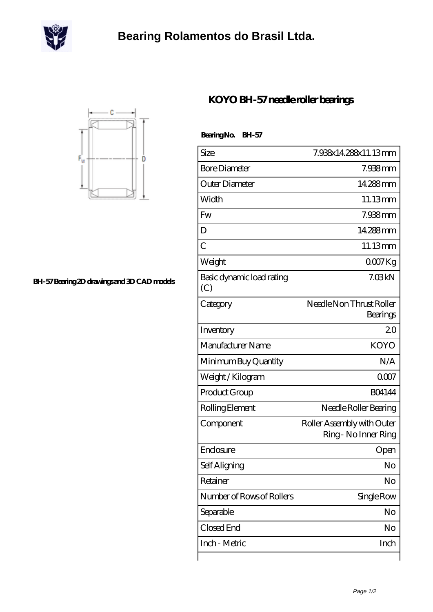

## **[Bearing Rolamentos do Brasil Ltda.](https://m.scottrobertalexander.com)**



**[BH-57 Bearing 2D drawings and 3D CAD models](https://m.scottrobertalexander.com/pic-539184.html)**

## **[KOYO BH-57 needle roller bearings](https://m.scottrobertalexander.com/koyo-bh-57-bearing/)**

 **Bearing No. BH-57**

| Size                             | 7.938x14.288x11.13mm                               |
|----------------------------------|----------------------------------------------------|
| <b>Bore Diameter</b>             | 7.938mm                                            |
| Outer Diameter                   | 14.288mm                                           |
| Width                            | 11.13mm                                            |
| Fw                               | 7.938mm                                            |
| D                                | 14.288mm                                           |
| $\overline{C}$                   | 11.13mm                                            |
| Weight                           | $0007$ Kg                                          |
| Basic dynamic load rating<br>(C) | 7.03kN                                             |
| Category                         | Needle Non Thrust Roller<br>Bearings               |
| Inventory                        | 20                                                 |
| Manufacturer Name                | <b>KOYO</b>                                        |
| Minimum Buy Quantity             | N/A                                                |
| Weight / Kilogram                | 0007                                               |
| Product Group                    | <b>BO4144</b>                                      |
| Rolling Element                  | Needle Roller Bearing                              |
| Component                        | Roller Assembly with Outer<br>Ring - No Inner Ring |
| Enclosure                        | Open                                               |
| Self Aligning                    | No                                                 |
| Retainer                         | No                                                 |
| Number of Rows of Rollers        | Single Row                                         |
| Separable                        | No                                                 |
| Closed End                       | No                                                 |
| Inch - Metric                    | Inch                                               |
|                                  |                                                    |